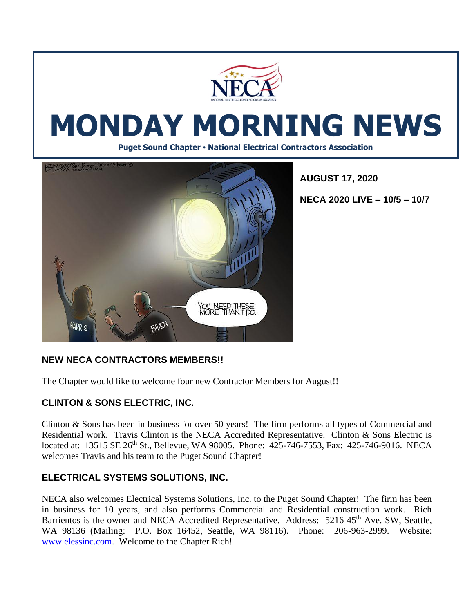

# **MONDAY MORNING NEWS**

**Puget Sound Chapter • National Electrical Contractors Association**



**AUGUST 17, 2020**

**NECA 2020 LIVE – 10/5 – 10/7**

# **NEW NECA CONTRACTORS MEMBERS!!**

The Chapter would like to welcome four new Contractor Members for August!!

# **CLINTON & SONS ELECTRIC, INC.**

Clinton & Sons has been in business for over 50 years! The firm performs all types of Commercial and Residential work. Travis Clinton is the NECA Accredited Representative. Clinton & Sons Electric is located at: 13515 SE 26th St., Bellevue, WA 98005. Phone: 425-746-7553, Fax: 425-746-9016. NECA welcomes Travis and his team to the Puget Sound Chapter!

# **ELECTRICAL SYSTEMS SOLUTIONS, INC.**

NECA also welcomes Electrical Systems Solutions, Inc. to the Puget Sound Chapter! The firm has been in business for 10 years, and also performs Commercial and Residential construction work. Rich Barrientos is the owner and NECA Accredited Representative. Address: 5216 45<sup>th</sup> Ave. SW, Seattle, WA 98136 (Mailing: P.O. Box 16452, Seattle, WA 98116). Phone: 206-963-2999. Website: [www.elessinc.com.](http://www.elessinc.com/) Welcome to the Chapter Rich!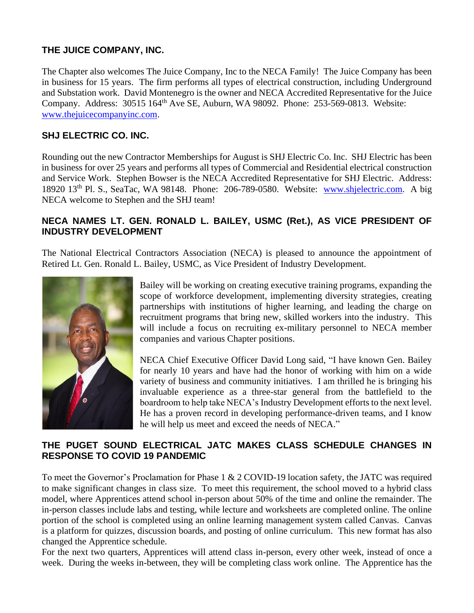# **THE JUICE COMPANY, INC.**

The Chapter also welcomes The Juice Company, Inc to the NECA Family! The Juice Company has been in business for 15 years. The firm performs all types of electrical construction, including Underground and Substation work. David Montenegro is the owner and NECA Accredited Representative for the Juice Company. Address: 30515 164<sup>th</sup> Ave SE, Auburn, WA 98092. Phone: 253-569-0813. Website: [www.thejuicecompanyinc.com.](http://www.thejuicecompanyinc.com/)

#### **SHJ ELECTRIC CO. INC.**

Rounding out the new Contractor Memberships for August is SHJ Electric Co. Inc. SHJ Electric has been in business for over 25 years and performs all types of Commercial and Residential electrical construction and Service Work. Stephen Bowser is the NECA Accredited Representative for SHJ Electric. Address: 18920 13th Pl. S., SeaTac, WA 98148. Phone: 206-789-0580. Website: [www.shjelectric.com.](http://www.shjelectric.com/) A big NECA welcome to Stephen and the SHJ team!

#### **NECA NAMES LT. GEN. RONALD L. BAILEY, USMC (Ret.), AS VICE PRESIDENT OF INDUSTRY DEVELOPMENT**

The National Electrical Contractors Association (NECA) is pleased to announce the appointment of Retired Lt. Gen. Ronald L. Bailey, USMC, as Vice President of Industry Development.



Bailey will be working on creating executive training programs, expanding the scope of workforce development, implementing diversity strategies, creating partnerships with institutions of higher learning, and leading the charge on recruitment programs that bring new, skilled workers into the industry. This will include a focus on recruiting ex-military personnel to NECA member companies and various Chapter positions.

NECA Chief Executive Officer David Long said, "I have known Gen. Bailey for nearly 10 years and have had the honor of working with him on a wide variety of business and community initiatives. I am thrilled he is bringing his invaluable experience as a three-star general from the battlefield to the boardroom to help take NECA's Industry Development efforts to the next level. He has a proven record in developing performance-driven teams, and I know he will help us meet and exceed the needs of NECA."

#### **THE PUGET SOUND ELECTRICAL JATC MAKES CLASS SCHEDULE CHANGES IN RESPONSE TO COVID 19 PANDEMIC**

To meet the Governor's Proclamation for Phase 1 & 2 COVID-19 location safety, the JATC was required to make significant changes in class size. To meet this requirement, the school moved to a hybrid class model, where Apprentices attend school in-person about 50% of the time and online the remainder. The in-person classes include labs and testing, while lecture and worksheets are completed online. The online portion of the school is completed using an online learning management system called Canvas. Canvas is a platform for quizzes, discussion boards, and posting of online curriculum. This new format has also changed the Apprentice schedule.

For the next two quarters, Apprentices will attend class in-person, every other week, instead of once a week. During the weeks in-between, they will be completing class work online. The Apprentice has the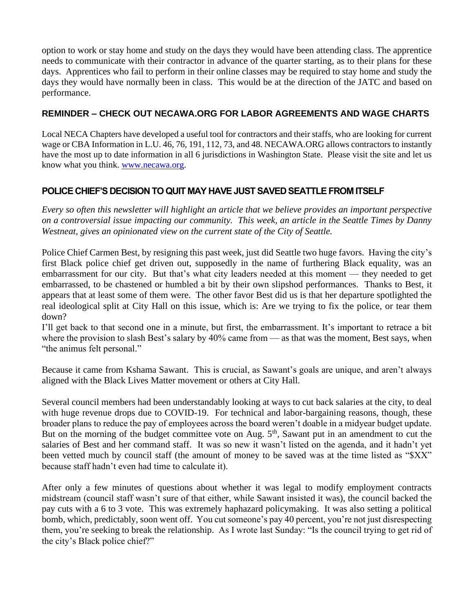option to work or stay home and study on the days they would have been attending class. The apprentice needs to communicate with their contractor in advance of the quarter starting, as to their plans for these days. Apprentices who fail to perform in their online classes may be required to stay home and study the days they would have normally been in class. This would be at the direction of the JATC and based on performance.

#### **REMINDER – CHECK OUT NECAWA.ORG FOR LABOR AGREEMENTS AND WAGE CHARTS**

Local NECA Chapters have developed a useful tool for contractors and their staffs, who are looking for current wage or CBA Information in L.U. 46, 76, 191, 112, 73, and 48. NECAWA.ORG allows contractors to instantly have the most up to date information in all 6 jurisdictions in Washington State. Please visit the site and let us know what you think. [www.necawa.org.](http://www.necawa.org/)

# **POLICE CHIEF'S DECISION TO QUIT MAY HAVE JUST SAVED SEATTLE FROM ITSELF**

*Every so often this newsletter will highlight an article that we believe provides an important perspective on a controversial issue impacting our community. This week, an article in the Seattle Times by Danny Westneat, gives an opinionated view on the current state of the City of Seattle.* 

Police Chief Carmen Best, by resigning this past week, just did Seattle two huge favors. Having the city's first Black police chief get driven out, supposedly in the name of furthering Black equality, was an embarrassment for our city. But that's what city leaders needed at this moment — they needed to get embarrassed, to be chastened or humbled a bit by their own slipshod performances. Thanks to Best, it appears that at least some of them were. The other favor Best did us is that her departure spotlighted the real ideological split at City Hall on this issue, which is: Are we trying to fix the police, or tear them down?

I'll get back to that second one in a minute, but first, the embarrassment. It's important to retrace a bit where the provision to slash Best's salary by 40% came from — as that was the moment, Best says, when "the animus felt personal."

Because it came from Kshama Sawant. This is crucial, as Sawant's goals are unique, and aren't always aligned with the Black Lives Matter movement or others at City Hall.

Several council members had been understandably looking at ways to cut back salaries at the city, to deal with huge revenue drops due to COVID-19. For technical and labor-bargaining reasons, though, these broader plans to reduce the pay of employees across the board weren't doable in a midyear budget update. But on the morning of the budget committee vote on Aug.  $5<sup>th</sup>$ , Sawant put in an amendment to cut the salaries of Best and her command staff. It was so new it wasn't listed on the agenda, and it hadn't yet been vetted much by council staff (the amount of money to be saved was at the time listed as "\$XX" because staff hadn't even had time to calculate it).

After only a few minutes of questions about whether it was legal to modify employment contracts midstream (council staff wasn't sure of that either, while Sawant insisted it was), the council backed the pay cuts with a 6 to 3 vote. This was extremely haphazard policymaking. It was also setting a political bomb, which, predictably, soon went off. You cut someone's pay 40 percent, you're not just disrespecting them, you're seeking to break the relationship. As I wrote last Sunday: "Is the council trying to get rid of the city's Black police chief?"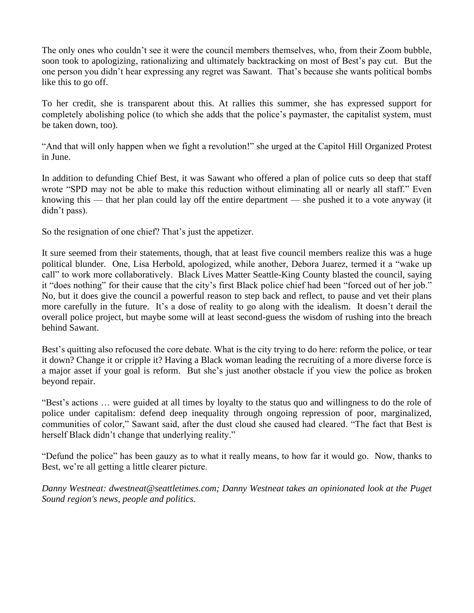The only ones who couldn't see it were the council members themselves, who, from their Zoom bubble, soon took to apologizing, rationalizing and ultimately backtracking on most of Best's pay cut. But the one person you didn't hear expressing any regret was Sawant. That's because she wants political bombs like this to go off.

To her credit, she is transparent about this. At rallies this summer, she has expressed support for completely abolishing police (to which she adds that the police's paymaster, the capitalist system, must be taken down, too).

"And that will only happen when we fight a revolution!" she urged at the Capitol Hill Organized Protest in June.

In addition to defunding Chief Best, it was Sawant who offered a plan of police cuts so deep that staff wrote "SPD may not be able to make this reduction without eliminating all or nearly all staff." Even knowing this — that her plan could lay off the entire department — she pushed it to a vote anyway (it didn't pass).

So the resignation of one chief? That's just the appetizer.

It sure seemed from their statements, though, that at least five council members realize this was a huge political blunder. One, Lisa Herbold, apologized, while another, Debora Juarez, termed it a "wake up call" to work more collaboratively. Black Lives Matter Seattle-King County blasted the council, saying it "does nothing" for their cause that the city's first Black police chief had been "forced out of her job." No, but it does give the council a powerful reason to step back and reflect, to pause and vet their plans more carefully in the future. It's a dose of reality to go along with the idealism. It doesn't derail the overall police project, but maybe some will at least second-guess the wisdom of rushing into the breach behind Sawant.

Best's quitting also refocused the core debate. What is the city trying to do here: reform the police, or tear it down? Change it or cripple it? Having a Black woman leading the recruiting of a more diverse force is a major asset if your goal is reform. But she's just another obstacle if you view the police as broken beyond repair.

"Best's actions … were guided at all times by loyalty to the status quo and willingness to do the role of police under capitalism: defend deep inequality through ongoing repression of poor, marginalized, communities of color," Sawant said, after the dust cloud she caused had cleared. "The fact that Best is herself Black didn't change that underlying reality."

"Defund the police" has been gauzy as to what it really means, to how far it would go. Now, thanks to Best, we're all getting a little clearer picture.

*Danny Westneat: dwestneat@seattletimes.com; Danny Westneat takes an opinionated look at the Puget Sound region's news, people and politics.*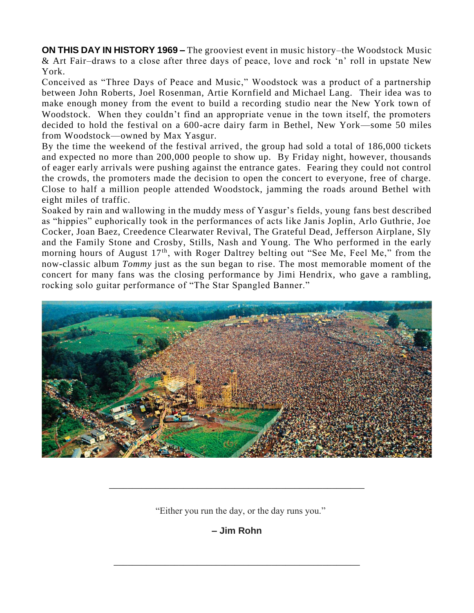**ON THIS DAY IN HISTORY 1969 –** The grooviest event in music history–the [Woodstock](https://www.history.com/topics/1960s/woodstock) Music & Art Fair–draws to a close after three days of peace, love and rock 'n' roll in upstate [New](https://www.history.com/topics/us-states/new-york)  [York.](https://www.history.com/topics/us-states/new-york)

Conceived as "Three Days of Peace and Music," Woodstock was a product of a partnership between John Roberts, Joel Rosenman, Artie Kornfield and Michael Lang. Their idea was to make enough money from the event to build a recording studio near the New York town of Woodstock. When they couldn't find an appropriate venue in the town itself, the promoters decided to hold the festival on a 600-acre dairy farm in Bethel, New York—some 50 miles from Woodstock—owned by Max Yasgur.

By the time the weekend of the festival arrived, the group had sold a total of 186,000 tickets and expected no more than 200,000 people to show up. By Friday night, however, thousands of eager early arrivals were pushing against the entrance gates. Fearing they could not control the crowds, the promoters made the decision to open the concert to everyone, free of charge. Close to half a million people attended Woodstock, jamming the roads around Bethel with eight miles of traffic.

Soaked by rain and wallowing in the muddy mess of Yasgur's fields, young fans best described as "hippies" euphorically took in the performances of acts like Janis Joplin, Arlo Guthrie, Joe Cocker, Joan Baez, Creedence Clearwater Revival, The Grateful Dead, Jefferson Airplane, Sly and the Family Stone and Crosby, Stills, Nash and Young. The Who performed in the early morning hours of August 17<sup>th</sup>, with Roger Daltrey belting out "See Me, Feel Me," from the now-classic album *Tommy* just as the sun began to rise. The most memorable moment of the concert for many fans was the closing performance by Jimi Hendrix, who gave a rambling, rocking solo guitar performance of "The Star Spangled Banner."



"Either you run the day, or the day runs you."

\_\_\_\_\_\_\_\_\_\_\_\_\_\_\_\_\_\_\_\_\_\_\_\_\_\_\_\_\_\_\_\_\_\_\_\_\_\_\_\_\_\_\_\_\_\_\_\_\_\_\_\_\_\_\_

**– Jim Rohn**

\_\_\_\_\_\_\_\_\_\_\_\_\_\_\_\_\_\_\_\_\_\_\_\_\_\_\_\_\_\_\_\_\_\_\_\_\_\_\_\_\_\_\_\_\_\_\_\_\_\_\_\_\_